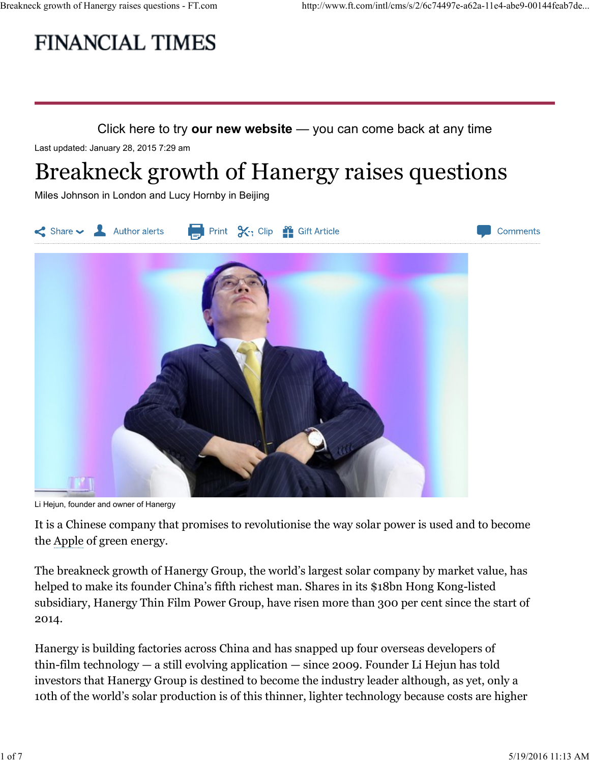# Breakneck growth of Hanergy raises questions - FT.com http://www.ft.com/intl/cms/s/2/6c74497e-a62a-11e4-abe9-00144feab7de...<br>
FINANCIAL TIMES



Last updated: January 28, 2015 7:29 am

# Breakneck growth of Hanergy raises questions

Miles Johnson in London and Lucy Hornby in Beijing



Li Hejun, founder and owner of Hanergy

It is a Chinese company that promises to revolutionise the way solar power is used and to become the Apple of green energy.

The breakneck growth of Hanergy Group, the world's largest solar company by market value, has helped to make its founder China's fifth richest man. Shares in its \$18bn Hong Kong-listed subsidiary, Hanergy Thin Film Power Group, have risen more than 300 per cent since the start of 2014.

Hanergy is building factories across China and has snapped up four overseas developers of thin-film technology — a still evolving application — since 2009. Founder Li Hejun has told investors that Hanergy Group is destined to become the industry leader although, as yet, only a 10th of the world's solar production is of this thinner, lighter technology because costs are higher This a Chinese company that promises to revolutionise the way solar power is used and to become<br>
the Apple of green energy.<br>
The breakneck growth of Hanergy Group, the world's largest solar company by market value, has<br>
h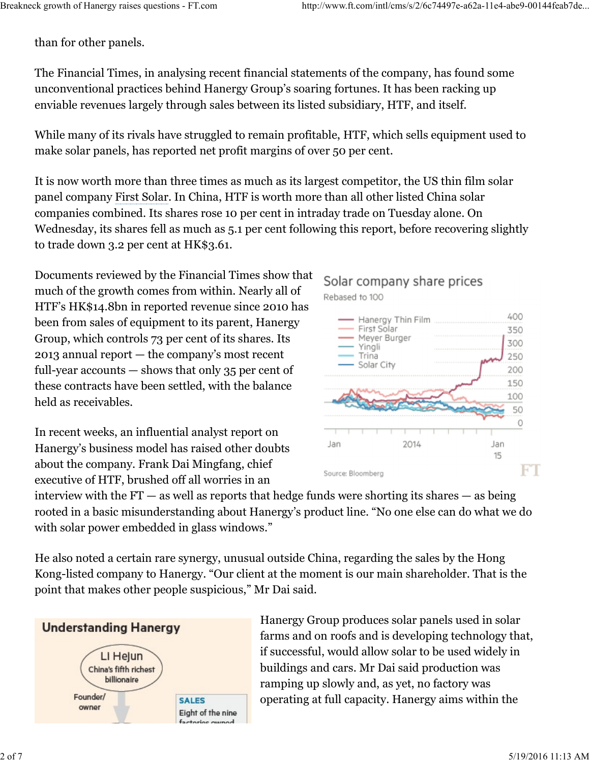than for other panels.

The Financial Times, in analysing recent financial statements of the company, has found some unconventional practices behind Hanergy Group's soaring fortunes. It has been racking up enviable revenues largely through sales between its listed subsidiary, HTF, and itself.

While many of its rivals have struggled to remain profitable, HTF, which sells equipment used to make solar panels, has reported net profit margins of over 50 per cent.

It is now worth more than three times as much as its largest competitor, the US thin film solar panel company First Solar. In China, HTF is worth more than all other listed China solar companies combined. Its shares rose 10 per cent in intraday trade on Tuesday alone. On Wednesday, its shares fell as much as 5.1 per cent following this report, before recovering slightly to trade down 3.2 per cent at HK\$3.61.

Documents reviewed by the Financial Times show that much of the growth comes from within. Nearly all of HTF's HK\$14.8bn in reported revenue since 2010 has been from sales of equipment to its parent, Hanergy **Example 20** First Solar Film Group, which controls 73 per cent of its shares. Its  $\frac{\text{Meyer Burger}}{\text{Yingli}}$ 2013 annual report — the company's most recent  $\overline{\phantom{a}}$  Trina full-year accounts — shows that only 35 per cent of these contracts have been settled, with the balance held as receivables.

In recent weeks, an influential analyst report on Hanergy's business model has raised other doubts Jan 2014 about the company. Frank Dai Mingfang, chief executive of HTF, brushed off all worries in an



He also noted a certain rare synergy, unusual outside China, regarding the sales by the Hong Kong-listed company to Hanergy. "Our client at the moment is our main shareholder. That is the point that makes other people suspicious," Mr Dai said.



Hanergy Group produces solar panels used in solar farms and on roofs and is developing technology that, if successful, would allow solar to be used widely in buildings and cars. Mr Dai said production was ramping up slowly and, as yet, no factory was operating at full capacity. Hanergy aims within the Founder/<br>
2 of 7<br>
2 of 7<br>
2 of 7<br>
2 of 19/2016 11:13 AM<br>
2 of 19/2016 11:13 AM<br>
2 of 19/2016 11:13 AM<br>
2 of 19/2016 11:13 AM<br>
2 of 19/2016 11:13 AM<br>
2 of 19/2016 11:13 AM<br>
2 of 19/2016 11:13 AM<br>
2 of 19/2016 11:13 AM<br>
2 of

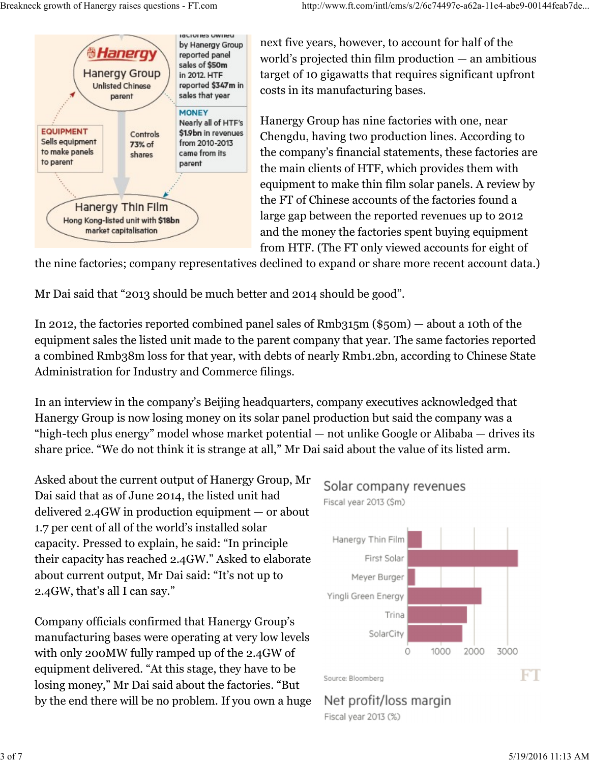

next five years, however, to account for half of the world's projected thin film production — an ambitious target of 10 gigawatts that requires significant upfront costs in its manufacturing bases.

Hanergy Group has nine factories with one, near Chengdu, having two production lines. According to the company's financial statements, these factories are the main clients of HTF, which provides them with equipment to make thin film solar panels. A review by the FT of Chinese accounts of the factories found a large gap between the reported revenues up to 2012 and the money the factories spent buying equipment from HTF. (The FT only viewed accounts for eight of

the nine factories; company representatives declined to expand or share more recent account data.)

Mr Dai said that "2013 should be much better and 2014 should be good".

In 2012, the factories reported combined panel sales of Rmb315m (\$50m) — about a 10th of the equipment sales the listed unit made to the parent company that year. The same factories reported a combined Rmb38m loss for that year, with debts of nearly Rmb1.2bn, according to Chinese State Administration for Industry and Commerce filings.

In an interview in the company's Beijing headquarters, company executives acknowledged that Hanergy Group is now losing money on its solar panel production but said the company was a "high-tech plus energy" model whose market potential — not unlike Google or Alibaba — drives its share price. "We do not think it is strange at all," Mr Dai said about the value of its listed arm.

Asked about the current output of Hanergy Group, Mr Solar company revenues Dai said that as of June 2014, the listed unit had Fiscal year 2013 (\$m) delivered 2.4GW in production equipment — or about 1.7 per cent of all of the world's installed solar capacity. Pressed to explain, he said: "In principle their capacity has reached 2.4GW." Asked to elaborate First Solar about current output, Mr Dai said: "It's not up to Meyer Burger 2.4GW, that's all I can say."

Company officials confirmed that Hanergy Group's manufacturing bases were operating at very low levels with only 200MW fully ramped up of the 2.4GW of equipment delivered. "At this stage, they have to be<br>
in the source: Bloomberg losing money," Mr Dai said about the factories. "But by the end there will be no problem. If you own a huge Net profit/loss margin

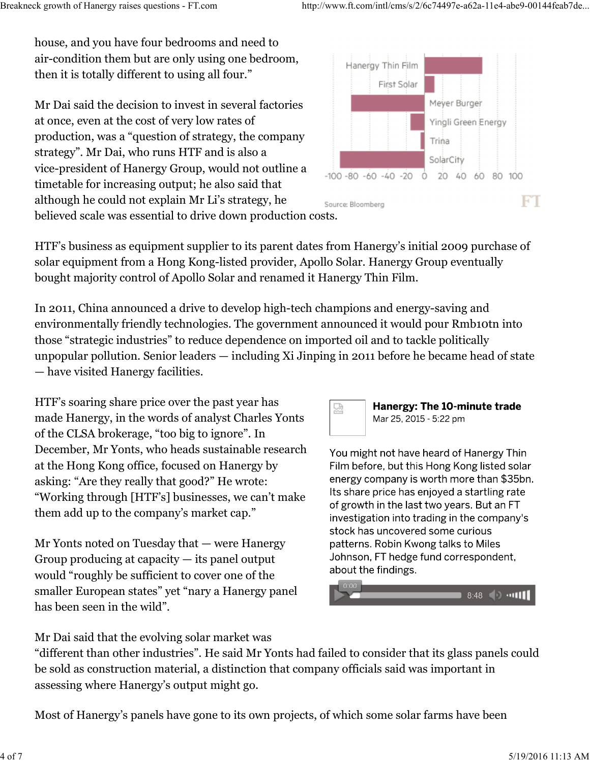house, and you have four bedrooms and need to air-condition them but are only using one bedroom, Hanergy Thin Film then it is totally different to using all four." Breakneck growth of Hanergy raises questions - FT.com http://www.ft.com/intl/cms/s/2/6c74497e-a62a-11e4-abe9-00144feab7de...<br>http://www.ft.com/intl/cms/s/2/6c74497e-a62a-11e4-abe9-00144feab7de...<br>http://www.ft.com/intl/cms

Mr Dai said the decision to invest in several factories **Example 2014** Meyer Burger at once, even at the cost of very low rates of production, was a "question of strategy, the company strategy". Mr Dai, who runs HTF and is also a vice-president of Hanergy Group, would not outline a timetable for increasing output; he also said that although he could not explain Mr Li's strategy, he believed scale was essential to drive down production costs.



HTF's business as equipment supplier to its parent dates from Hanergy's initial 2009 purchase of solar equipment from a Hong Kong-listed provider, Apollo Solar. Hanergy Group eventually bought majority control of Apollo Solar and renamed it Hanergy Thin Film.

In 2011, China announced a drive to develop high-tech champions and energy-saving and environmentally friendly technologies. The government announced it would pour Rmb10tn into those "strategic industries" to reduce dependence on imported oil and to tackle politically unpopular pollution. Senior leaders — including Xi Jinping in 2011 before he became head of state — have visited Hanergy facilities.

HTF's soaring share price over the past year has **Hanergy: The 10-minute trade** made Hanergy, in the words of analyst Charles Yonts Mar 25, 2015 - 5:22 pm of the CLSA brokerage, "too big to ignore". In December, Mr Yonts, who heads sustainable research You might not have heard of Hanergy Thin at the Hong Kong office, focused on Hanergy by Film before, but this Hong Kong listed solar asking: "Are they really that good?" He wrote:<br>"Working through [HTE's] businesses we can't make lts share price has enjoyed a startling rate "Working through [HTF's] businesses, we can't make them add up to the company's market cap."<br>investigation into trading in the company's

Mr Yonts noted on Tuesday that — were Hanergy exampled that Solin Kwong talks to Miles Group producing at capacity  $-$  its panel output  $\frac{1}{2}$  Johnson, FT hedge fund correspondent, would "roughly be sufficient to cover one of the smaller European states" yet "nary a Hanergy panel has been seen in the wild".





Mr Dai said that the evolving solar market was

"different than other industries". He said Mr Yonts had failed to consider that its glass panels could be sold as construction material, a distinction that company officials said was important in assessing where Hanergy's output might go. them add up to the company's market cap."<br>
investigation into trading in the company's<br>
stock has uncovered some curious<br>
Mr Yonts noted on Tuesday that — were Hanergy<br>
consider into trading in the company's<br>
stock has unc

Most of Hanergy's panels have gone to its own projects, of which some solar farms have been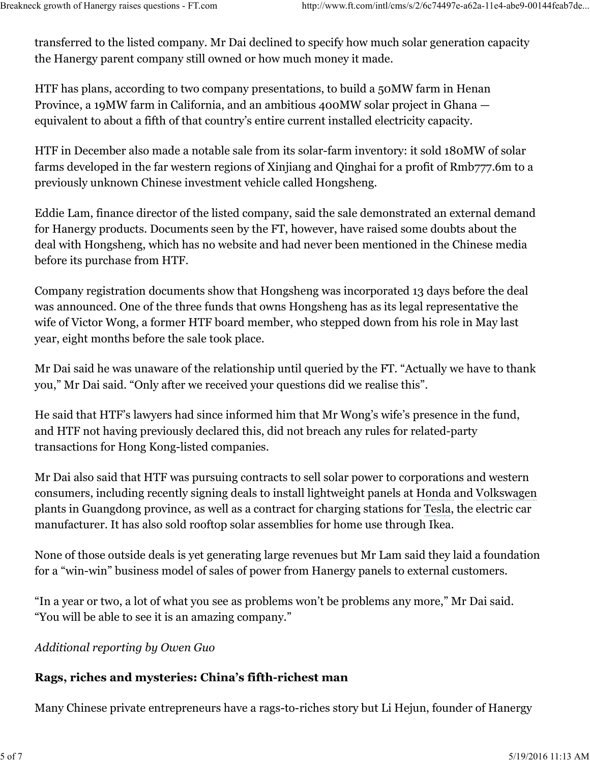transferred to the listed company. Mr Dai declined to specify how much solar generation capacity the Hanergy parent company still owned or how much money it made. Breakneck growth of Hanergy raises questions - FT.com http://www.ft.com/intl/cms/s/2/6c74497e-a62a-11e4-abe9-00144feab7de...<br>transferred to the listed company. Mr Dai declined to specify how much solar generation capacity<br>

HTF has plans, according to two company presentations, to build a 50MW farm in Henan Province, a 19MW farm in California, and an ambitious 400MW solar project in Ghana equivalent to about a fifth of that country's entire current installed electricity capacity.

HTF in December also made a notable sale from its solar-farm inventory: it sold 180MW of solar farms developed in the far western regions of Xinjiang and Qinghai for a profit of Rmb777.6m to a previously unknown Chinese investment vehicle called Hongsheng.

Eddie Lam, finance director of the listed company, said the sale demonstrated an external demand for Hanergy products. Documents seen by the FT, however, have raised some doubts about the deal with Hongsheng, which has no website and had never been mentioned in the Chinese media before its purchase from HTF.

Company registration documents show that Hongsheng was incorporated 13 days before the deal was announced. One of the three funds that owns Hongsheng has as its legal representative the wife of Victor Wong, a former HTF board member, who stepped down from his role in May last year, eight months before the sale took place.

Mr Dai said he was unaware of the relationship until queried by the FT. "Actually we have to thank you," Mr Dai said. "Only after we received your questions did we realise this".

He said that HTF's lawyers had since informed him that Mr Wong's wife's presence in the fund, and HTF not having previously declared this, did not breach any rules for related-party transactions for Hong Kong-listed companies.

Mr Dai also said that HTF was pursuing contracts to sell solar power to corporations and western consumers, including recently signing deals to install lightweight panels at Honda and Volkswagen plants in Guangdong province, as well as a contract for charging stations for Tesla, the electric car manufacturer. It has also sold rooftop solar assemblies for home use through Ikea.

None of those outside deals is yet generating large revenues but Mr Lam said they laid a foundation for a "win-win" business model of sales of power from Hanergy panels to external customers. plants in Guangdong province, as well as a contract for charging stations for Tesla, the electric car<br>manufacturer. It has also sold rooftop solar assemblies for home use through Ikea.<br>None of those outside deals is yet ge

"In a year or two, a lot of what you see as problems won't be problems any more," Mr Dai said. "You will be able to see it is an amazing company."

## Additional reporting by Owen Guo

### Rags, riches and mysteries: China's fifth-richest man

Many Chinese private entrepreneurs have a rags-to-riches story but Li Hejun, founder of Hanergy